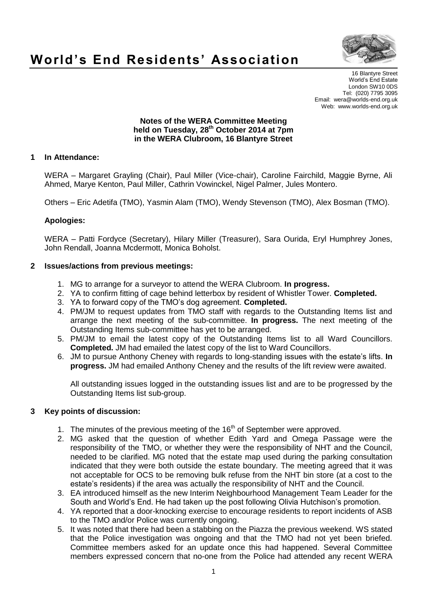

# **World's End Residents' Association**

16 Blantyre Street World's End Estate London SW10 0DS Tel: (020) 7795 3095 Email: wera@worlds-end.org.uk Web: www.worlds-end.org.uk

#### **Notes of the WERA Committee Meeting held on Tuesday, 28th October 2014 at 7pm in the WERA Clubroom, 16 Blantyre Street**

# **1 In Attendance:**

WERA – Margaret Grayling (Chair), Paul Miller (Vice-chair), Caroline Fairchild, Maggie Byrne, Ali Ahmed, Marye Kenton, Paul Miller, Cathrin Vowinckel, Nigel Palmer, Jules Montero.

Others – Eric Adetifa (TMO), Yasmin Alam (TMO), Wendy Stevenson (TMO), Alex Bosman (TMO).

# **Apologies:**

WERA – Patti Fordyce (Secretary), Hilary Miller (Treasurer), Sara Ourida, Eryl Humphrey Jones, John Rendall, Joanna Mcdermott, Monica Boholst.

## **2 Issues/actions from previous meetings:**

- 1. MG to arrange for a surveyor to attend the WERA Clubroom. **In progress.**
- 2. YA to confirm fitting of cage behind letterbox by resident of Whistler Tower. **Completed.**
- 3. YA to forward copy of the TMO's dog agreement. **Completed.**
- 4. PM/JM to request updates from TMO staff with regards to the Outstanding Items list and arrange the next meeting of the sub-committee. **In progress.** The next meeting of the Outstanding Items sub-committee has yet to be arranged.
- 5. PM/JM to email the latest copy of the Outstanding Items list to all Ward Councillors. **Completed.** JM had emailed the latest copy of the list to Ward Councillors.
- 6. JM to pursue Anthony Cheney with regards to long-standing issues with the estate's lifts. **In progress.** JM had emailed Anthony Cheney and the results of the lift review were awaited.

All outstanding issues logged in the outstanding issues list and are to be progressed by the Outstanding Items list sub-group.

#### **3 Key points of discussion:**

- 1. The minutes of the previous meeting of the  $16<sup>th</sup>$  of September were approved.
- 2. MG asked that the question of whether Edith Yard and Omega Passage were the responsibility of the TMO, or whether they were the responsibility of NHT and the Council, needed to be clarified. MG noted that the estate map used during the parking consultation indicated that they were both outside the estate boundary. The meeting agreed that it was not acceptable for OCS to be removing bulk refuse from the NHT bin store (at a cost to the estate's residents) if the area was actually the responsibility of NHT and the Council.
- 3. EA introduced himself as the new Interim Neighbourhood Management Team Leader for the South and World's End. He had taken up the post following Olivia Hutchison's promotion.
- 4. YA reported that a door-knocking exercise to encourage residents to report incidents of ASB to the TMO and/or Police was currently ongoing.
- 5. It was noted that there had been a stabbing on the Piazza the previous weekend. WS stated that the Police investigation was ongoing and that the TMO had not yet been briefed. Committee members asked for an update once this had happened. Several Committee members expressed concern that no-one from the Police had attended any recent WERA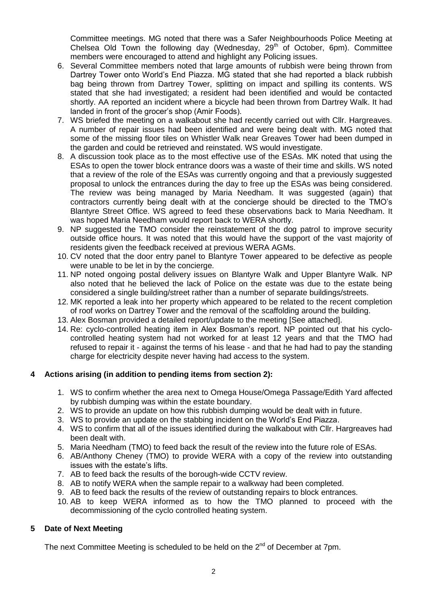Committee meetings. MG noted that there was a Safer Neighbourhoods Police Meeting at Chelsea Old Town the following day (Wednesday,  $29<sup>th</sup>$  of October, 6pm). Committee members were encouraged to attend and highlight any Policing issues.

- 6. Several Committee members noted that large amounts of rubbish were being thrown from Dartrey Tower onto World's End Piazza. MG stated that she had reported a black rubbish bag being thrown from Dartrey Tower, splitting on impact and spilling its contents. WS stated that she had investigated; a resident had been identified and would be contacted shortly. AA reported an incident where a bicycle had been thrown from Dartrey Walk. It had landed in front of the grocer's shop (Amir Foods).
- 7. WS briefed the meeting on a walkabout she had recently carried out with Cllr. Hargreaves. A number of repair issues had been identified and were being dealt with. MG noted that some of the missing floor tiles on Whistler Walk near Greaves Tower had been dumped in the garden and could be retrieved and reinstated. WS would investigate.
- 8. A discussion took place as to the most effective use of the ESAs. MK noted that using the ESAs to open the tower block entrance doors was a waste of their time and skills. WS noted that a review of the role of the ESAs was currently ongoing and that a previously suggested proposal to unlock the entrances during the day to free up the ESAs was being considered. The review was being managed by Maria Needham. It was suggested (again) that contractors currently being dealt with at the concierge should be directed to the TMO's Blantyre Street Office. WS agreed to feed these observations back to Maria Needham. It was hoped Maria Needham would report back to WERA shortly.
- 9. NP suggested the TMO consider the reinstatement of the dog patrol to improve security outside office hours. It was noted that this would have the support of the vast majority of residents given the feedback received at previous WERA AGMs.
- 10. CV noted that the door entry panel to Blantyre Tower appeared to be defective as people were unable to be let in by the concierge.
- 11. NP noted ongoing postal delivery issues on Blantyre Walk and Upper Blantyre Walk. NP also noted that he believed the lack of Police on the estate was due to the estate being considered a single building/street rather than a number of separate buildings/streets.
- 12. MK reported a leak into her property which appeared to be related to the recent completion of roof works on Dartrey Tower and the removal of the scaffolding around the building.
- 13. Alex Bosman provided a detailed report/update to the meeting [See attached].
- 14. Re: cyclo-controlled heating item in Alex Bosman's report. NP pointed out that his cyclocontrolled heating system had not worked for at least 12 years and that the TMO had refused to repair it - against the terms of his lease - and that he had had to pay the standing charge for electricity despite never having had access to the system.

# **4 Actions arising (in addition to pending items from section 2):**

- 1. WS to confirm whether the area next to Omega House/Omega Passage/Edith Yard affected by rubbish dumping was within the estate boundary.
- 2. WS to provide an update on how this rubbish dumping would be dealt with in future.
- 3. WS to provide an update on the stabbing incident on the World's End Piazza.
- 4. WS to confirm that all of the issues identified during the walkabout with Cllr. Hargreaves had been dealt with.
- 5. Maria Needham (TMO) to feed back the result of the review into the future role of ESAs.
- 6. AB/Anthony Cheney (TMO) to provide WERA with a copy of the review into outstanding issues with the estate's lifts.
- 7. AB to feed back the results of the borough-wide CCTV review.
- 8. AB to notify WERA when the sample repair to a walkway had been completed.
- 9. AB to feed back the results of the review of outstanding repairs to block entrances.
- 10. AB to keep WERA informed as to how the TMO planned to proceed with the decommissioning of the cyclo controlled heating system.

# **5 Date of Next Meeting**

The next Committee Meeting is scheduled to be held on the  $2<sup>nd</sup>$  of December at 7pm.